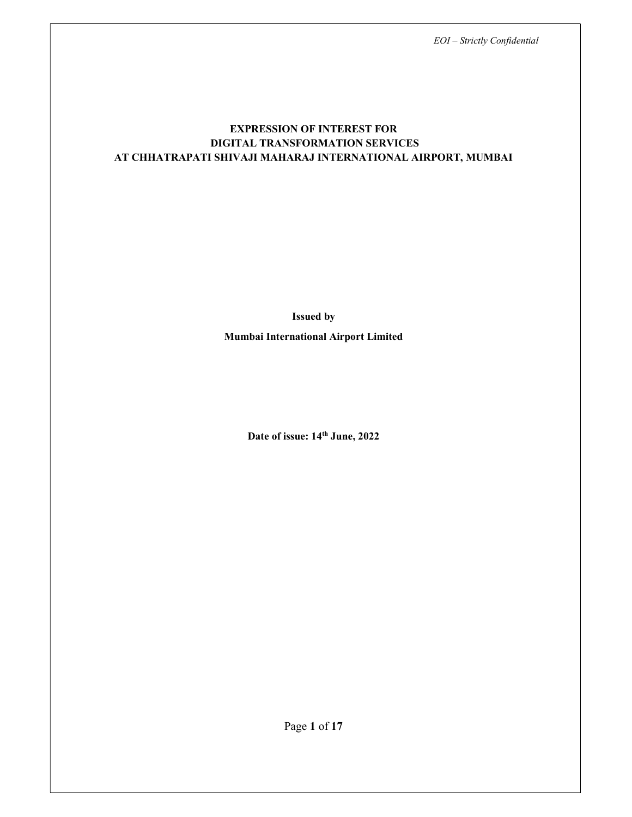## EXPRESSION OF INTEREST FOR DIGITAL TRANSFORMATION SERVICES AT CHHATRAPATI SHIVAJI MAHARAJ INTERNATIONAL AIRPORT, MUMBAI

Issued by

Mumbai International Airport Limited

Date of issue:  $14^{\text{th}}$  June, 2022

Page 1 of 17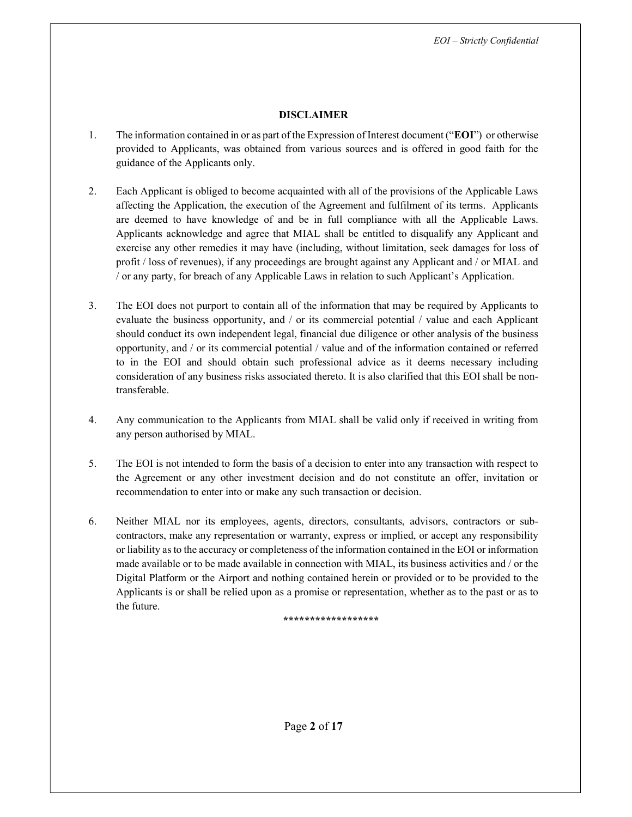#### DISCLAIMER

- 1. The information contained in or as part of the Expression of Interest document ("EOI") or otherwise provided to Applicants, was obtained from various sources and is offered in good faith for the guidance of the Applicants only.
- 2. Each Applicant is obliged to become acquainted with all of the provisions of the Applicable Laws affecting the Application, the execution of the Agreement and fulfilment of its terms. Applicants are deemed to have knowledge of and be in full compliance with all the Applicable Laws. Applicants acknowledge and agree that MIAL shall be entitled to disqualify any Applicant and exercise any other remedies it may have (including, without limitation, seek damages for loss of profit / loss of revenues), if any proceedings are brought against any Applicant and / or MIAL and / or any party, for breach of any Applicable Laws in relation to such Applicant's Application.
- 3. The EOI does not purport to contain all of the information that may be required by Applicants to evaluate the business opportunity, and / or its commercial potential / value and each Applicant should conduct its own independent legal, financial due diligence or other analysis of the business opportunity, and / or its commercial potential / value and of the information contained or referred to in the EOI and should obtain such professional advice as it deems necessary including consideration of any business risks associated thereto. It is also clarified that this EOI shall be nontransferable.
- 4. Any communication to the Applicants from MIAL shall be valid only if received in writing from any person authorised by MIAL.
- 5. The EOI is not intended to form the basis of a decision to enter into any transaction with respect to the Agreement or any other investment decision and do not constitute an offer, invitation or recommendation to enter into or make any such transaction or decision.
- 6. Neither MIAL nor its employees, agents, directors, consultants, advisors, contractors or subcontractors, make any representation or warranty, express or implied, or accept any responsibility or liability as to the accuracy or completeness of the information contained in the EOI or information made available or to be made available in connection with MIAL, its business activities and / or the Digital Platform or the Airport and nothing contained herein or provided or to be provided to the Applicants is or shall be relied upon as a promise or representation, whether as to the past or as to the future.

\*\*\*\*\*\*\*\*\*\*\*\*\*\*\*\*\*\*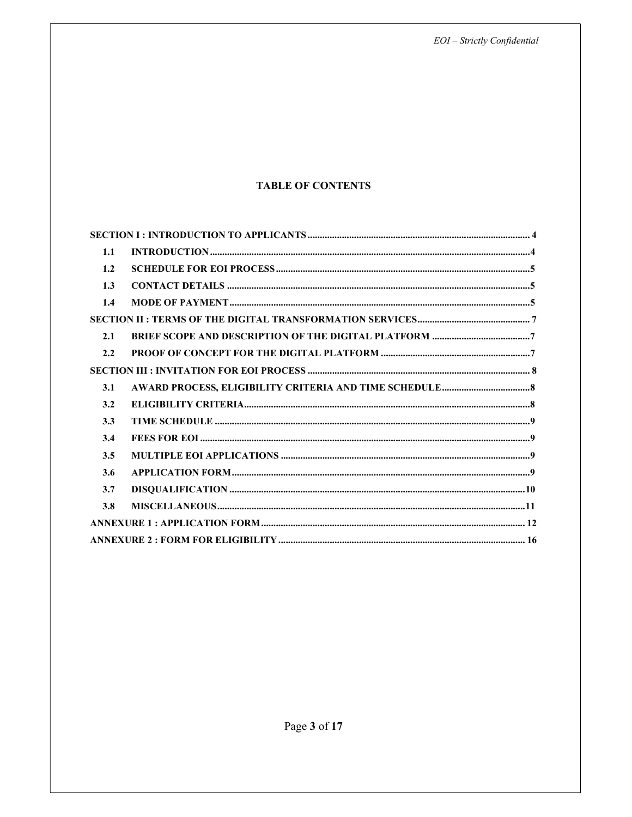$EOI - Strictly$  Confidential

## **TABLE OF CONTENTS**

| 1.1 |  |  |  |
|-----|--|--|--|
| 1.2 |  |  |  |
| 1.3 |  |  |  |
| 1.4 |  |  |  |
|     |  |  |  |
| 2.1 |  |  |  |
| 2.2 |  |  |  |
|     |  |  |  |
| 3.1 |  |  |  |
| 3.2 |  |  |  |
| 3.3 |  |  |  |
| 3.4 |  |  |  |
| 3.5 |  |  |  |
| 3.6 |  |  |  |
| 3.7 |  |  |  |
| 3.8 |  |  |  |
|     |  |  |  |
|     |  |  |  |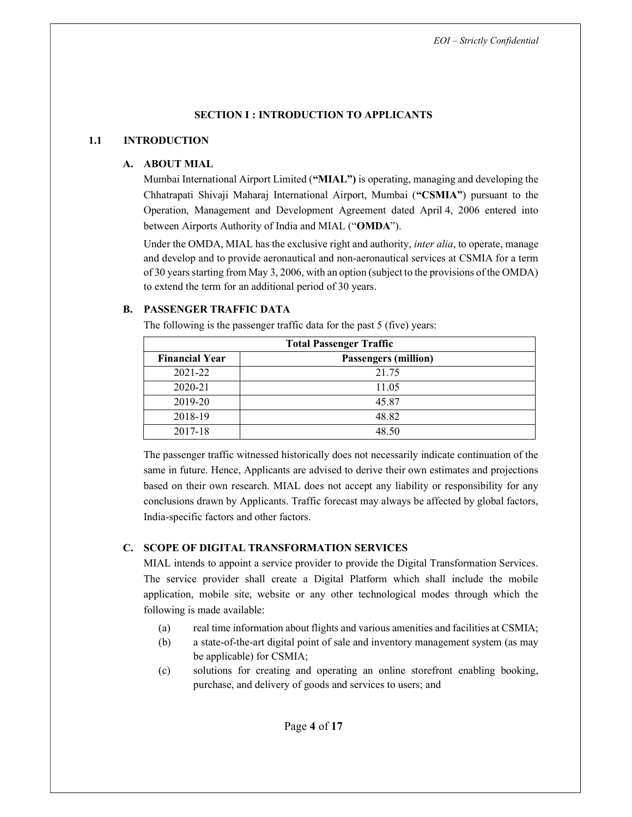## SECTION I : INTRODUCTION TO APPLICANTS

#### 1.1 INTRODUCTION

## A. ABOUT MIAL

Mumbai International Airport Limited ("MIAL") is operating, managing and developing the Chhatrapati Shivaji Maharaj International Airport, Mumbai ("CSMIA") pursuant to the Operation, Management and Development Agreement dated April 4, 2006 entered into between Airports Authority of India and MIAL ("OMDA").

Under the OMDA, MIAL has the exclusive right and authority, *inter alia*, to operate, manage and develop and to provide aeronautical and non-aeronautical services at CSMIA for a term of 30 years starting from May 3, 2006, with an option (subject to the provisions of the OMDA) to extend the term for an additional period of 30 years.

## B. PASSENGER TRAFFIC DATA

The following is the passenger traffic data for the past 5 (five) years:

| <b>Total Passenger Traffic</b> |                             |  |  |
|--------------------------------|-----------------------------|--|--|
| <b>Financial Year</b>          | <b>Passengers (million)</b> |  |  |
| 2021-22                        | 21.75                       |  |  |
| 2020-21                        | 11.05                       |  |  |
| 2019-20                        | 45.87                       |  |  |
| 2018-19                        | 48.82                       |  |  |
| 2017-18                        | 48.50                       |  |  |

The passenger traffic witnessed historically does not necessarily indicate continuation of the same in future. Hence, Applicants are advised to derive their own estimates and projections based on their own research. MIAL does not accept any liability or responsibility for any conclusions drawn by Applicants. Traffic forecast may always be affected by global factors, India-specific factors and other factors.

## C. SCOPE OF DIGITAL TRANSFORMATION SERVICES

MIAL intends to appoint a service provider to provide the Digital Transformation Services. The service provider shall create a Digital Platform which shall include the mobile application, mobile site, website or any other technological modes through which the following is made available:

- (a) real time information about flights and various amenities and facilities at CSMIA;
- (b) a state-of-the-art digital point of sale and inventory management system (as may be applicable) for CSMIA;
- (c) solutions for creating and operating an online storefront enabling booking, purchase, and delivery of goods and services to users; and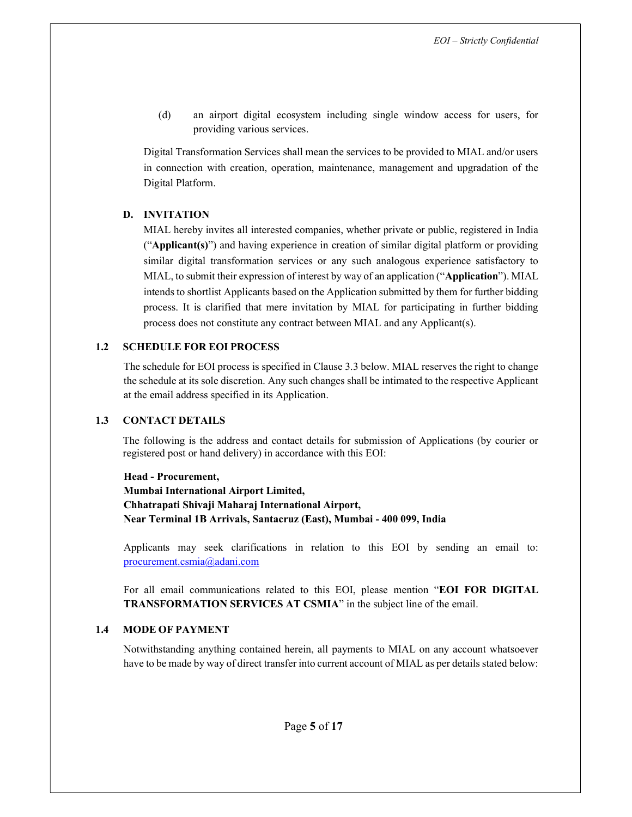(d) an airport digital ecosystem including single window access for users, for providing various services.

Digital Transformation Services shall mean the services to be provided to MIAL and/or users in connection with creation, operation, maintenance, management and upgradation of the Digital Platform.

#### D. INVITATION

MIAL hereby invites all interested companies, whether private or public, registered in India ("Applicant(s)") and having experience in creation of similar digital platform or providing similar digital transformation services or any such analogous experience satisfactory to MIAL, to submit their expression of interest by way of an application ("Application"). MIAL intends to shortlist Applicants based on the Application submitted by them for further bidding process. It is clarified that mere invitation by MIAL for participating in further bidding process does not constitute any contract between MIAL and any Applicant(s).

#### 1.2 SCHEDULE FOR EOI PROCESS

The schedule for EOI process is specified in Clause 3.3 below. MIAL reserves the right to change the schedule at its sole discretion. Any such changes shall be intimated to the respective Applicant at the email address specified in its Application.

#### 1.3 CONTACT DETAILS

The following is the address and contact details for submission of Applications (by courier or registered post or hand delivery) in accordance with this EOI:

Head - Procurement, Mumbai International Airport Limited, Chhatrapati Shivaji Maharaj International Airport, Near Terminal 1B Arrivals, Santacruz (East), Mumbai - 400 099, India

Applicants may seek clarifications in relation to this EOI by sending an email to: procurement.csmia@adani.com

For all email communications related to this EOI, please mention "EOI FOR DIGITAL TRANSFORMATION SERVICES AT CSMIA" in the subject line of the email.

#### 1.4 MODE OF PAYMENT

Notwithstanding anything contained herein, all payments to MIAL on any account whatsoever have to be made by way of direct transfer into current account of MIAL as per details stated below: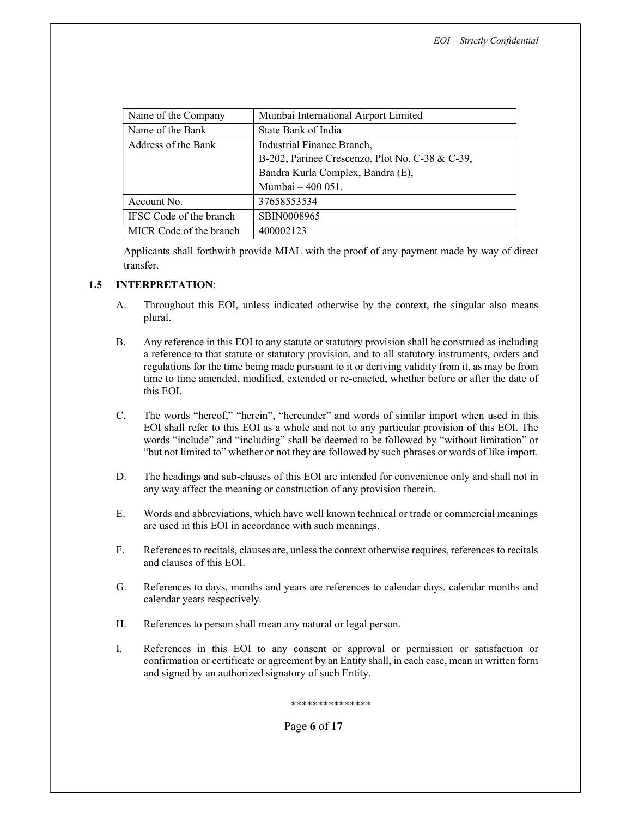| Name of the Company     | Mumbai International Airport Limited            |
|-------------------------|-------------------------------------------------|
| Name of the Bank        | State Bank of India                             |
| Address of the Bank     | Industrial Finance Branch,                      |
|                         | B-202, Parinee Crescenzo, Plot No. C-38 & C-39, |
|                         | Bandra Kurla Complex, Bandra (E),               |
|                         | Mumbai - 400 051.                               |
| Account No.             | 37658553534                                     |
| IFSC Code of the branch | SBIN0008965                                     |
| MICR Code of the branch | 400002123                                       |

Applicants shall forthwith provide MIAL with the proof of any payment made by way of direct transfer.

## 1.5 INTERPRETATION:

- A. Throughout this EOI, unless indicated otherwise by the context, the singular also means plural.
- B. Any reference in this EOI to any statute or statutory provision shall be construed as including a reference to that statute or statutory provision, and to all statutory instruments, orders and regulations for the time being made pursuant to it or deriving validity from it, as may be from time to time amended, modified, extended or re-enacted, whether before or after the date of this EOI.
- C. The words "hereof," "herein", "hereunder" and words of similar import when used in this EOI shall refer to this EOI as a whole and not to any particular provision of this EOI. The words "include" and "including" shall be deemed to be followed by "without limitation" or "but not limited to" whether or not they are followed by such phrases or words of like import.
- D. The headings and sub-clauses of this EOI are intended for convenience only and shall not in any way affect the meaning or construction of any provision therein.
- E. Words and abbreviations, which have well known technical or trade or commercial meanings are used in this EOI in accordance with such meanings.
- F. References to recitals, clauses are, unless the context otherwise requires, references to recitals and clauses of this EOI.
- G. References to days, months and years are references to calendar days, calendar months and calendar years respectively.
- H. References to person shall mean any natural or legal person.
- I. References in this EOI to any consent or approval or permission or satisfaction or confirmation or certificate or agreement by an Entity shall, in each case, mean in written form and signed by an authorized signatory of such Entity.

\*\*\*\*\*\*\*\*\*\*\*\*\*\*\*

Page 6 of 17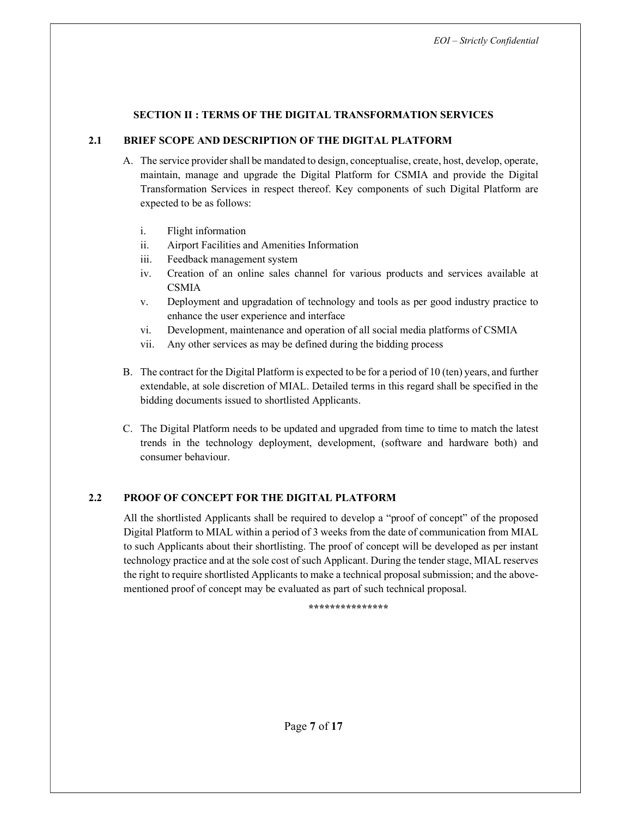#### SECTION II : TERMS OF THE DIGITAL TRANSFORMATION SERVICES

#### 2.1 BRIEF SCOPE AND DESCRIPTION OF THE DIGITAL PLATFORM

- A. The service provider shall be mandated to design, conceptualise, create, host, develop, operate, maintain, manage and upgrade the Digital Platform for CSMIA and provide the Digital Transformation Services in respect thereof. Key components of such Digital Platform are expected to be as follows:
	- i. Flight information
	- ii. Airport Facilities and Amenities Information
	- iii. Feedback management system
	- iv. Creation of an online sales channel for various products and services available at **CSMIA**
	- v. Deployment and upgradation of technology and tools as per good industry practice to enhance the user experience and interface
	- vi. Development, maintenance and operation of all social media platforms of CSMIA
	- vii. Any other services as may be defined during the bidding process
- B. The contract for the Digital Platform is expected to be for a period of 10 (ten) years, and further extendable, at sole discretion of MIAL. Detailed terms in this regard shall be specified in the bidding documents issued to shortlisted Applicants.
- C. The Digital Platform needs to be updated and upgraded from time to time to match the latest trends in the technology deployment, development, (software and hardware both) and consumer behaviour.

## 2.2 PROOF OF CONCEPT FOR THE DIGITAL PLATFORM

All the shortlisted Applicants shall be required to develop a "proof of concept" of the proposed Digital Platform to MIAL within a period of 3 weeks from the date of communication from MIAL to such Applicants about their shortlisting. The proof of concept will be developed as per instant technology practice and at the sole cost of such Applicant. During the tender stage, MIAL reserves the right to require shortlisted Applicants to make a technical proposal submission; and the abovementioned proof of concept may be evaluated as part of such technical proposal.

\*\*\*\*\*\*\*\*\*\*\*\*\*\*\*\*\*\*\*\*\*\*\*\*\*\*\*\*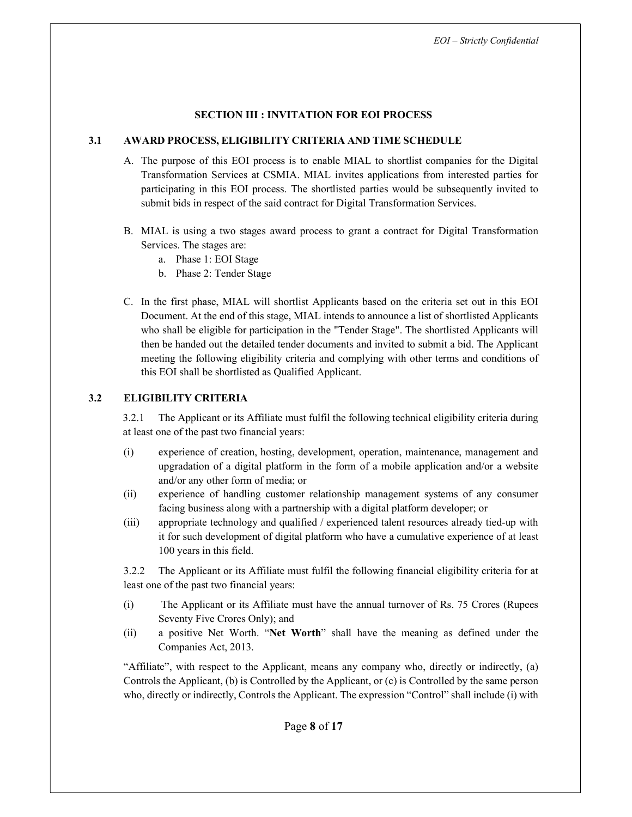#### SECTION III : INVITATION FOR EOI PROCESS

#### 3.1 AWARD PROCESS, ELIGIBILITY CRITERIA AND TIME SCHEDULE

- A. The purpose of this EOI process is to enable MIAL to shortlist companies for the Digital Transformation Services at CSMIA. MIAL invites applications from interested parties for participating in this EOI process. The shortlisted parties would be subsequently invited to submit bids in respect of the said contract for Digital Transformation Services.
- B. MIAL is using a two stages award process to grant a contract for Digital Transformation Services. The stages are:
	- a. Phase 1: EOI Stage
	- b. Phase 2: Tender Stage
- C. In the first phase, MIAL will shortlist Applicants based on the criteria set out in this EOI Document. At the end of this stage, MIAL intends to announce a list of shortlisted Applicants who shall be eligible for participation in the "Tender Stage". The shortlisted Applicants will then be handed out the detailed tender documents and invited to submit a bid. The Applicant meeting the following eligibility criteria and complying with other terms and conditions of this EOI shall be shortlisted as Qualified Applicant.

## 3.2 ELIGIBILITY CRITERIA

3.2.1 The Applicant or its Affiliate must fulfil the following technical eligibility criteria during at least one of the past two financial years:

- (i) experience of creation, hosting, development, operation, maintenance, management and upgradation of a digital platform in the form of a mobile application and/or a website and/or any other form of media; or
- (ii) experience of handling customer relationship management systems of any consumer facing business along with a partnership with a digital platform developer; or
- (iii) appropriate technology and qualified / experienced talent resources already tied-up with it for such development of digital platform who have a cumulative experience of at least 100 years in this field.

3.2.2 The Applicant or its Affiliate must fulfil the following financial eligibility criteria for at least one of the past two financial years:

- (i) The Applicant or its Affiliate must have the annual turnover of Rs. 75 Crores (Rupees Seventy Five Crores Only); and
- (ii) a positive Net Worth. "Net Worth" shall have the meaning as defined under the Companies Act, 2013.

"Affiliate", with respect to the Applicant, means any company who, directly or indirectly, (a) Controls the Applicant, (b) is Controlled by the Applicant, or (c) is Controlled by the same person who, directly or indirectly, Controls the Applicant. The expression "Control" shall include (i) with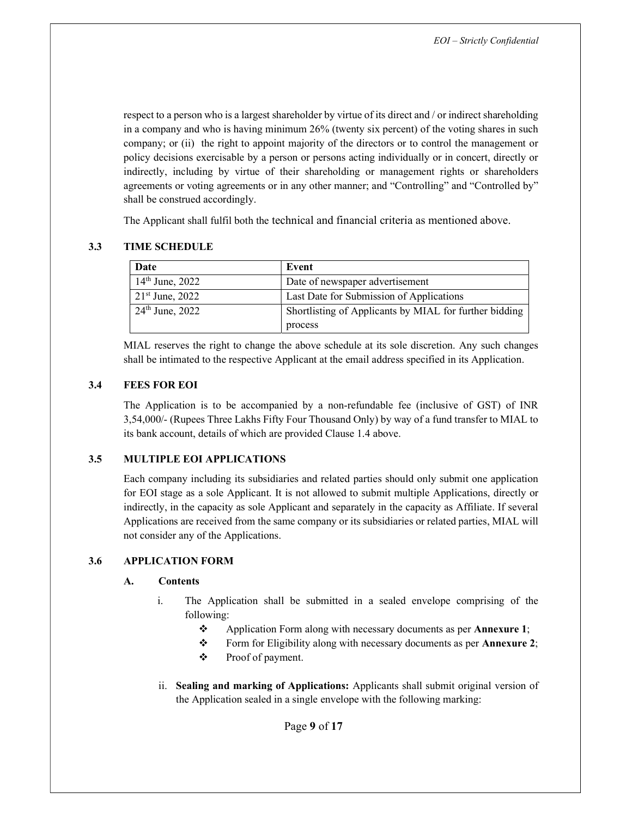respect to a person who is a largest shareholder by virtue of its direct and / or indirect shareholding in a company and who is having minimum 26% (twenty six percent) of the voting shares in such company; or (ii) the right to appoint majority of the directors or to control the management or policy decisions exercisable by a person or persons acting individually or in concert, directly or indirectly, including by virtue of their shareholding or management rights or shareholders agreements or voting agreements or in any other manner; and "Controlling" and "Controlled by" shall be construed accordingly.

The Applicant shall fulfil both the technical and financial criteria as mentioned above.

#### 3.3 TIME SCHEDULE

| Date              | Event                                                  |
|-------------------|--------------------------------------------------------|
| $14th$ June, 2022 | Date of newspaper advertisement                        |
| $21st$ June, 2022 | Last Date for Submission of Applications               |
| $24th$ June, 2022 | Shortlisting of Applicants by MIAL for further bidding |
|                   | process                                                |

MIAL reserves the right to change the above schedule at its sole discretion. Any such changes shall be intimated to the respective Applicant at the email address specified in its Application.

## 3.4 FEES FOR EOI

The Application is to be accompanied by a non-refundable fee (inclusive of GST) of INR 3,54,000/- (Rupees Three Lakhs Fifty Four Thousand Only) by way of a fund transfer to MIAL to its bank account, details of which are provided Clause 1.4 above.

#### 3.5 MULTIPLE EOI APPLICATIONS

Each company including its subsidiaries and related parties should only submit one application for EOI stage as a sole Applicant. It is not allowed to submit multiple Applications, directly or indirectly, in the capacity as sole Applicant and separately in the capacity as Affiliate. If several Applications are received from the same company or its subsidiaries or related parties, MIAL will not consider any of the Applications.

## 3.6 APPLICATION FORM

#### A. Contents

- i. The Application shall be submitted in a sealed envelope comprising of the following:
	- \* Application Form along with necessary documents as per **Annexure 1**;
	- Form for Eligibility along with necessary documents as per Annexure 2;
	- Proof of payment.
- ii. Sealing and marking of Applications: Applicants shall submit original version of the Application sealed in a single envelope with the following marking:

Page 9 of 17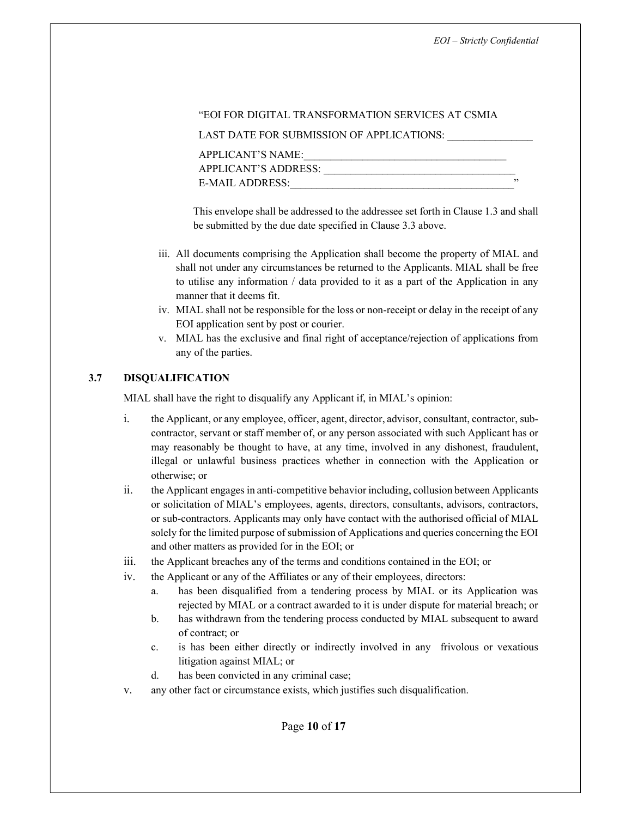#### "EOI FOR DIGITAL TRANSFORMATION SERVICES AT CSMIA

LAST DATE FOR SUBMISSION OF APPLICATIONS:

| ,, |
|----|
|    |

This envelope shall be addressed to the addressee set forth in Clause 1.3 and shall be submitted by the due date specified in Clause 3.3 above.

- iii. All documents comprising the Application shall become the property of MIAL and shall not under any circumstances be returned to the Applicants. MIAL shall be free to utilise any information / data provided to it as a part of the Application in any manner that it deems fit.
- iv. MIAL shall not be responsible for the loss or non-receipt or delay in the receipt of any EOI application sent by post or courier.
- v. MIAL has the exclusive and final right of acceptance/rejection of applications from any of the parties.

#### 3.7 DISQUALIFICATION

MIAL shall have the right to disqualify any Applicant if, in MIAL's opinion:

- i. the Applicant, or any employee, officer, agent, director, advisor, consultant, contractor, subcontractor, servant or staff member of, or any person associated with such Applicant has or may reasonably be thought to have, at any time, involved in any dishonest, fraudulent, illegal or unlawful business practices whether in connection with the Application or otherwise; or
- ii. the Applicant engages in anti-competitive behavior including, collusion between Applicants or solicitation of MIAL's employees, agents, directors, consultants, advisors, contractors, or sub-contractors. Applicants may only have contact with the authorised official of MIAL solely for the limited purpose of submission of Applications and queries concerning the EOI and other matters as provided for in the EOI; or
- iii. the Applicant breaches any of the terms and conditions contained in the EOI; or
- iv. the Applicant or any of the Affiliates or any of their employees, directors:
	- a. has been disqualified from a tendering process by MIAL or its Application was rejected by MIAL or a contract awarded to it is under dispute for material breach; or
	- b. has withdrawn from the tendering process conducted by MIAL subsequent to award of contract; or
	- c. is has been either directly or indirectly involved in any frivolous or vexatious litigation against MIAL; or
	- d. has been convicted in any criminal case;
- v. any other fact or circumstance exists, which justifies such disqualification.

Page 10 of 17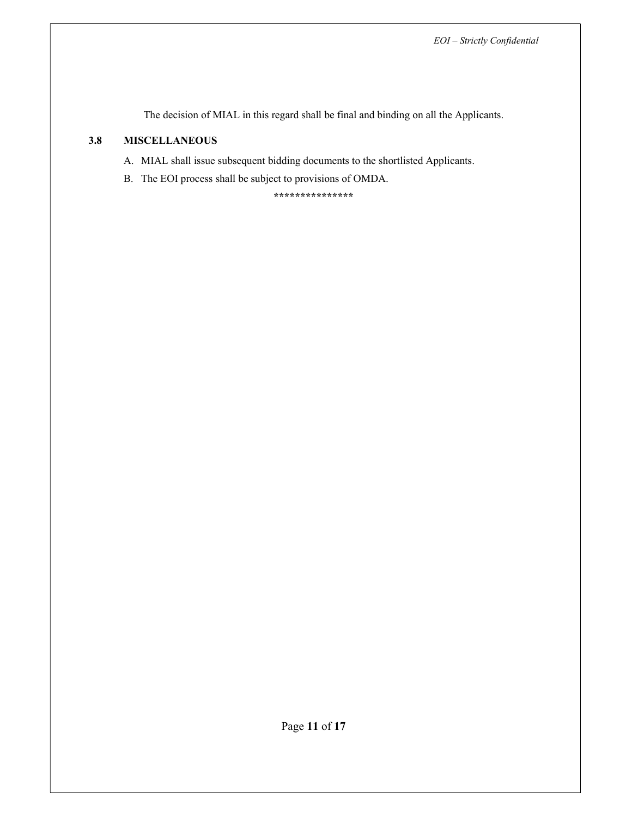The decision of MIAL in this regard shall be final and binding on all the Applicants.

## 3.8 MISCELLANEOUS

- A. MIAL shall issue subsequent bidding documents to the shortlisted Applicants.
- B. The EOI process shall be subject to provisions of OMDA.

\*\*\*\*\*\*\*\*\*\*\*\*\*\*\*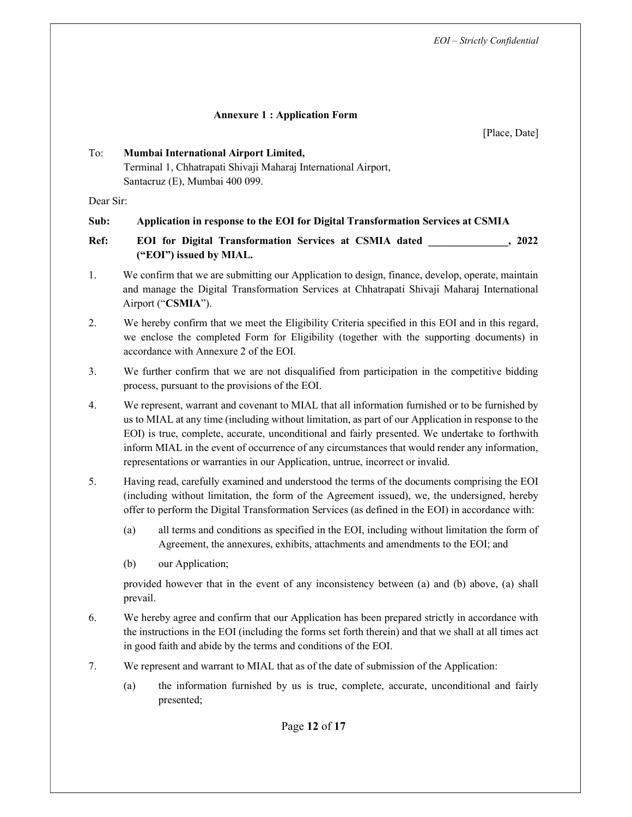#### Annexure 1 : Application Form

[Place, Date]

## To: Mumbai International Airport Limited, Terminal 1, Chhatrapati Shivaji Maharaj International Airport, Santacruz (E), Mumbai 400 099.

Dear Sir:

## Sub: Application in response to the EOI for Digital Transformation Services at CSMIA

Ref: EOI for Digital Transformation Services at CSMIA dated , 2022 ("EOI") issued by MIAL.

- 1. We confirm that we are submitting our Application to design, finance, develop, operate, maintain and manage the Digital Transformation Services at Chhatrapati Shivaji Maharaj International Airport ("CSMIA").
- 2. We hereby confirm that we meet the Eligibility Criteria specified in this EOI and in this regard, we enclose the completed Form for Eligibility (together with the supporting documents) in accordance with Annexure 2 of the EOI.
- 3. We further confirm that we are not disqualified from participation in the competitive bidding process, pursuant to the provisions of the EOI.
- 4. We represent, warrant and covenant to MIAL that all information furnished or to be furnished by us to MIAL at any time (including without limitation, as part of our Application in response to the EOI) is true, complete, accurate, unconditional and fairly presented. We undertake to forthwith inform MIAL in the event of occurrence of any circumstances that would render any information, representations or warranties in our Application, untrue, incorrect or invalid.
- 5. Having read, carefully examined and understood the terms of the documents comprising the EOI (including without limitation, the form of the Agreement issued), we, the undersigned, hereby offer to perform the Digital Transformation Services (as defined in the EOI) in accordance with:
	- (a) all terms and conditions as specified in the EOI, including without limitation the form of Agreement, the annexures, exhibits, attachments and amendments to the EOI; and
	- (b) our Application;

provided however that in the event of any inconsistency between (a) and (b) above, (a) shall prevail.

- 6. We hereby agree and confirm that our Application has been prepared strictly in accordance with the instructions in the EOI (including the forms set forth therein) and that we shall at all times act in good faith and abide by the terms and conditions of the EOI.
- 7. We represent and warrant to MIAL that as of the date of submission of the Application:
	- (a) the information furnished by us is true, complete, accurate, unconditional and fairly presented;

Page 12 of 17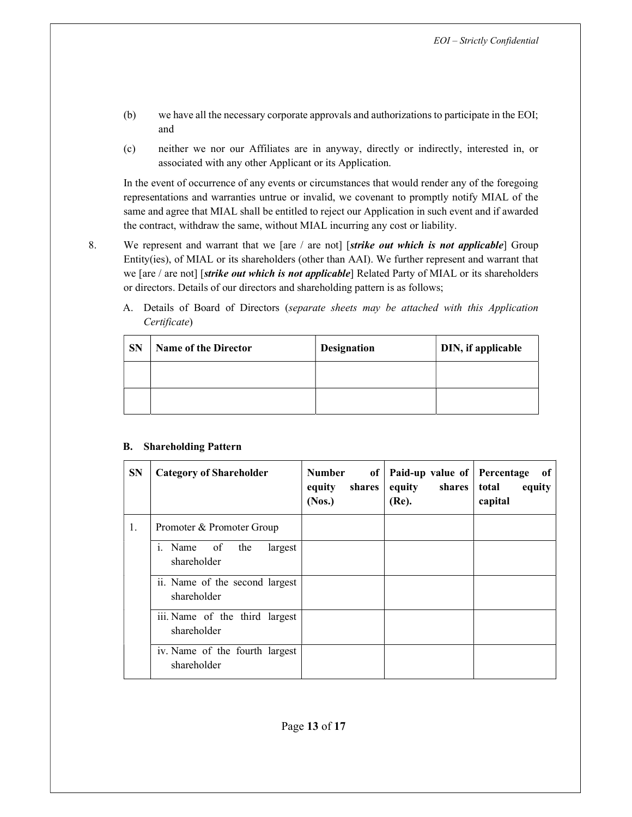- (b) we have all the necessary corporate approvals and authorizations to participate in the EOI; and
- (c) neither we nor our Affiliates are in anyway, directly or indirectly, interested in, or associated with any other Applicant or its Application.

In the event of occurrence of any events or circumstances that would render any of the foregoing representations and warranties untrue or invalid, we covenant to promptly notify MIAL of the same and agree that MIAL shall be entitled to reject our Application in such event and if awarded the contract, withdraw the same, without MIAL incurring any cost or liability.

- 8. We represent and warrant that we [are / are not] [strike out which is not applicable] Group Entity(ies), of MIAL or its shareholders (other than AAI). We further represent and warrant that we [are / are not] [*strike out which is not applicable*] Related Party of MIAL or its shareholders or directors. Details of our directors and shareholding pattern is as follows;
	- A. Details of Board of Directors (separate sheets may be attached with this Application Certificate)

| <b>SN</b> | <b>Name of the Director</b> | <b>Designation</b> | DIN, if applicable |
|-----------|-----------------------------|--------------------|--------------------|
|           |                             |                    |                    |
|           |                             |                    |                    |

#### B. Shareholding Pattern

| <b>SN</b> | <b>Category of Shareholder</b>                | <b>Number</b><br>shares<br>equity<br>(Nos.) | of   Paid-up value of<br>equity<br>shares<br>(Re). | Percentage<br>of<br>total<br>equity<br>capital |
|-----------|-----------------------------------------------|---------------------------------------------|----------------------------------------------------|------------------------------------------------|
| 1.        | Promoter & Promoter Group                     |                                             |                                                    |                                                |
|           | i. Name of<br>the<br>largest<br>shareholder   |                                             |                                                    |                                                |
|           | ii. Name of the second largest<br>shareholder |                                             |                                                    |                                                |
|           | iii. Name of the third largest<br>shareholder |                                             |                                                    |                                                |
|           | iv. Name of the fourth largest<br>shareholder |                                             |                                                    |                                                |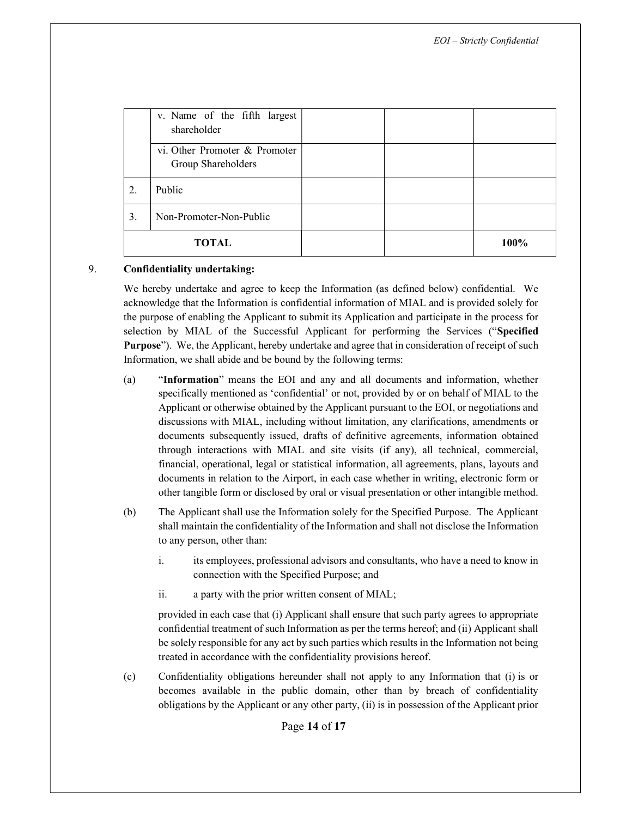|       | v. Name of the fifth largest<br>shareholder         |  |      |
|-------|-----------------------------------------------------|--|------|
|       | vi. Other Promoter & Promoter<br>Group Shareholders |  |      |
| 2.    | Public                                              |  |      |
| 3.    | Non-Promoter-Non-Public                             |  |      |
| TOTAL |                                                     |  | 100% |

#### 9. Confidentiality undertaking:

We hereby undertake and agree to keep the Information (as defined below) confidential. We acknowledge that the Information is confidential information of MIAL and is provided solely for the purpose of enabling the Applicant to submit its Application and participate in the process for selection by MIAL of the Successful Applicant for performing the Services ("Specified Purpose"). We, the Applicant, hereby undertake and agree that in consideration of receipt of such Information, we shall abide and be bound by the following terms:

- (a) "Information" means the EOI and any and all documents and information, whether specifically mentioned as 'confidential' or not, provided by or on behalf of MIAL to the Applicant or otherwise obtained by the Applicant pursuant to the EOI, or negotiations and discussions with MIAL, including without limitation, any clarifications, amendments or documents subsequently issued, drafts of definitive agreements, information obtained through interactions with MIAL and site visits (if any), all technical, commercial, financial, operational, legal or statistical information, all agreements, plans, layouts and documents in relation to the Airport, in each case whether in writing, electronic form or other tangible form or disclosed by oral or visual presentation or other intangible method.
- (b) The Applicant shall use the Information solely for the Specified Purpose. The Applicant shall maintain the confidentiality of the Information and shall not disclose the Information to any person, other than:
	- i. its employees, professional advisors and consultants, who have a need to know in connection with the Specified Purpose; and
	- ii. a party with the prior written consent of MIAL;

provided in each case that (i) Applicant shall ensure that such party agrees to appropriate confidential treatment of such Information as per the terms hereof; and (ii) Applicant shall be solely responsible for any act by such parties which results in the Information not being treated in accordance with the confidentiality provisions hereof.

(c) Confidentiality obligations hereunder shall not apply to any Information that (i) is or becomes available in the public domain, other than by breach of confidentiality obligations by the Applicant or any other party, (ii) is in possession of the Applicant prior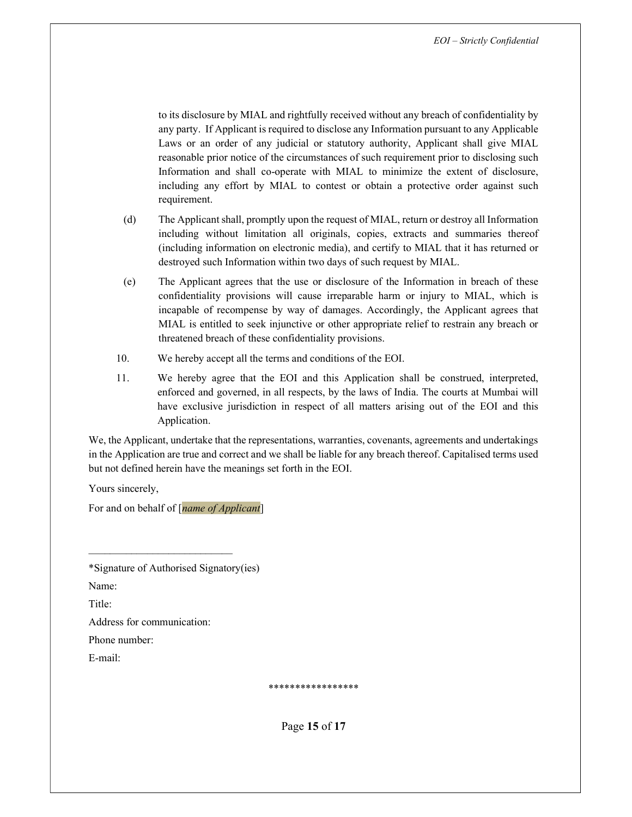to its disclosure by MIAL and rightfully received without any breach of confidentiality by any party. If Applicant is required to disclose any Information pursuant to any Applicable Laws or an order of any judicial or statutory authority, Applicant shall give MIAL reasonable prior notice of the circumstances of such requirement prior to disclosing such Information and shall co-operate with MIAL to minimize the extent of disclosure, including any effort by MIAL to contest or obtain a protective order against such requirement.

- (d) The Applicant shall, promptly upon the request of MIAL, return or destroy all Information including without limitation all originals, copies, extracts and summaries thereof (including information on electronic media), and certify to MIAL that it has returned or destroyed such Information within two days of such request by MIAL.
- (e) The Applicant agrees that the use or disclosure of the Information in breach of these confidentiality provisions will cause irreparable harm or injury to MIAL, which is incapable of recompense by way of damages. Accordingly, the Applicant agrees that MIAL is entitled to seek injunctive or other appropriate relief to restrain any breach or threatened breach of these confidentiality provisions.
- 10. We hereby accept all the terms and conditions of the EOI.
- 11. We hereby agree that the EOI and this Application shall be construed, interpreted, enforced and governed, in all respects, by the laws of India. The courts at Mumbai will have exclusive jurisdiction in respect of all matters arising out of the EOI and this Application.

We, the Applicant, undertake that the representations, warranties, covenants, agreements and undertakings in the Application are true and correct and we shall be liable for any breach thereof. Capitalised terms used but not defined herein have the meanings set forth in the EOI.

Yours sincerely,

For and on behalf of [*name of Applicant*]

\*Signature of Authorised Signatory(ies)

 $\mathcal{L}_\text{max}$ 

Name:

Title:

Address for communication:

Phone number:

E-mail:

\*\*\*\*\*\*\*\*\*\*\*\*\*\*\*\*\*

Page 15 of 17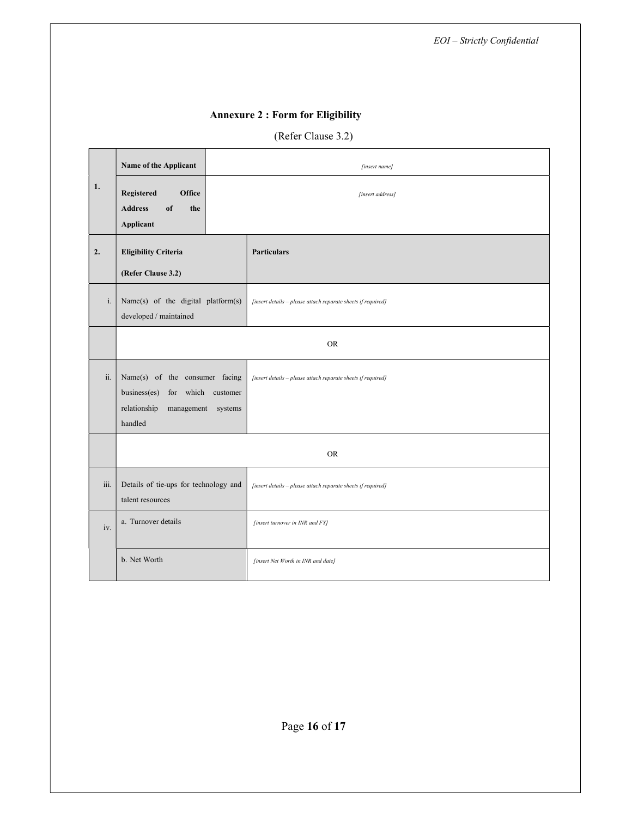# Annexure 2 : Form for Eligibility

# (Refer Clause 3.2)

|      | Name of the Applicant                                                                                                       | [insert name]                                                |  |
|------|-----------------------------------------------------------------------------------------------------------------------------|--------------------------------------------------------------|--|
| 1.   | <b>Registered</b><br>Office                                                                                                 | [insert address]                                             |  |
|      | <b>Address</b><br>of<br>the<br>Applicant                                                                                    |                                                              |  |
| 2.   | <b>Eligibility Criteria</b>                                                                                                 | <b>Particulars</b>                                           |  |
|      | (Refer Clause 3.2)                                                                                                          |                                                              |  |
| i.   | Name(s) of the digital platform(s)<br>developed / maintained                                                                | [insert details - please attach separate sheets if required] |  |
|      | <b>OR</b>                                                                                                                   |                                                              |  |
| ii.  | Name(s) of the consumer facing<br>business(es)<br>for which<br>customer<br>relationship<br>management<br>systems<br>handled | [insert details - please attach separate sheets if required] |  |
|      | <b>OR</b>                                                                                                                   |                                                              |  |
| iii. | Details of tie-ups for technology and<br>[insert details - please attach separate sheets if required]<br>talent resources   |                                                              |  |
| iv.  | a. Turnover details<br>[insert turnover in INR and FY]                                                                      |                                                              |  |
|      | b. Net Worth                                                                                                                | [insert Net Worth in INR and date]                           |  |

Page 16 of 17